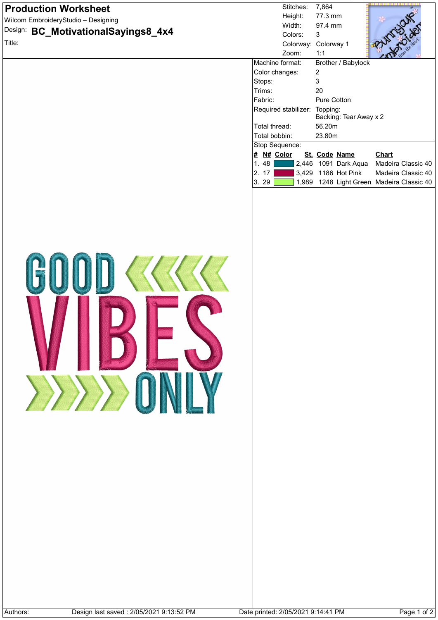| <b>Production Worksheet</b>                                                                          |                                | Stitches:                          | 7,864                  |                                                         |
|------------------------------------------------------------------------------------------------------|--------------------------------|------------------------------------|------------------------|---------------------------------------------------------|
| Wilcom EmbroideryStudio - Designing                                                                  |                                | Height:<br>Width:                  | 77.3 mm<br>97.4 mm     |                                                         |
| Design: BC_MotivationalSayings8_4x4                                                                  |                                | Colors:                            | 3                      |                                                         |
| Title:                                                                                               |                                |                                    | Colorway: Colorway 1   |                                                         |
|                                                                                                      |                                | Zoom:                              | 1:1                    |                                                         |
|                                                                                                      | Machine format:                |                                    | Brother / Babylock     |                                                         |
|                                                                                                      | Color changes:                 |                                    | 2                      |                                                         |
|                                                                                                      | Stops:<br>Trims:               |                                    | 3<br>20                |                                                         |
|                                                                                                      | Fabric:                        |                                    | Pure Cotton            |                                                         |
|                                                                                                      |                                | Required stabilizer: Topping:      |                        |                                                         |
|                                                                                                      |                                |                                    | Backing: Tear Away x 2 |                                                         |
|                                                                                                      | Total thread:                  |                                    | 56.20m                 |                                                         |
|                                                                                                      | Total bobbin:                  |                                    | 23.80m                 |                                                         |
|                                                                                                      | Stop Sequence:                 |                                    |                        |                                                         |
|                                                                                                      | $\frac{H}{H}$ N# Color<br>1.48 |                                    | St. Code Name          | <b>Chart</b><br>2,446 1091 Dark Aqua Madeira Classic 40 |
|                                                                                                      | 2. 17                          |                                    | 3,429 1186 Hot Pink    | Madeira Classic 40                                      |
|                                                                                                      | 3.29                           |                                    |                        | 1,989 1248 Light Green Madeira Classic 40               |
|                                                                                                      |                                |                                    |                        |                                                         |
|                                                                                                      |                                |                                    |                        |                                                         |
|                                                                                                      |                                |                                    |                        |                                                         |
|                                                                                                      |                                |                                    |                        |                                                         |
|                                                                                                      |                                |                                    |                        |                                                         |
|                                                                                                      |                                |                                    |                        |                                                         |
|                                                                                                      |                                |                                    |                        |                                                         |
|                                                                                                      |                                |                                    |                        |                                                         |
| COLORED STATES<br>$\left\langle \left\langle \left\langle \right\rangle \right\rangle \right\rangle$ |                                |                                    |                        |                                                         |
|                                                                                                      |                                |                                    |                        |                                                         |
|                                                                                                      |                                |                                    |                        |                                                         |
|                                                                                                      |                                |                                    |                        |                                                         |
|                                                                                                      |                                |                                    |                        |                                                         |
|                                                                                                      |                                |                                    |                        |                                                         |
|                                                                                                      |                                |                                    |                        |                                                         |
|                                                                                                      |                                |                                    |                        |                                                         |
|                                                                                                      |                                |                                    |                        |                                                         |
|                                                                                                      |                                |                                    |                        |                                                         |
|                                                                                                      |                                |                                    |                        |                                                         |
|                                                                                                      |                                |                                    |                        |                                                         |
| $\sum$                                                                                               |                                |                                    |                        |                                                         |
|                                                                                                      |                                |                                    |                        |                                                         |
|                                                                                                      |                                |                                    |                        |                                                         |
|                                                                                                      |                                |                                    |                        |                                                         |
|                                                                                                      |                                |                                    |                        |                                                         |
|                                                                                                      |                                |                                    |                        |                                                         |
|                                                                                                      |                                |                                    |                        |                                                         |
|                                                                                                      |                                |                                    |                        |                                                         |
|                                                                                                      |                                |                                    |                        |                                                         |
|                                                                                                      |                                |                                    |                        |                                                         |
|                                                                                                      |                                |                                    |                        |                                                         |
|                                                                                                      |                                |                                    |                        |                                                         |
|                                                                                                      |                                |                                    |                        |                                                         |
|                                                                                                      |                                |                                    |                        |                                                         |
|                                                                                                      |                                |                                    |                        |                                                         |
|                                                                                                      |                                |                                    |                        |                                                         |
|                                                                                                      |                                |                                    |                        |                                                         |
|                                                                                                      |                                |                                    |                        |                                                         |
|                                                                                                      |                                |                                    |                        |                                                         |
|                                                                                                      |                                |                                    |                        |                                                         |
|                                                                                                      |                                |                                    |                        |                                                         |
| Design last saved: 2/05/2021 9:13:52 PM<br>Authors:                                                  |                                | Date printed: 2/05/2021 9:14:41 PM |                        | Page 1 of 2                                             |
|                                                                                                      |                                |                                    |                        |                                                         |